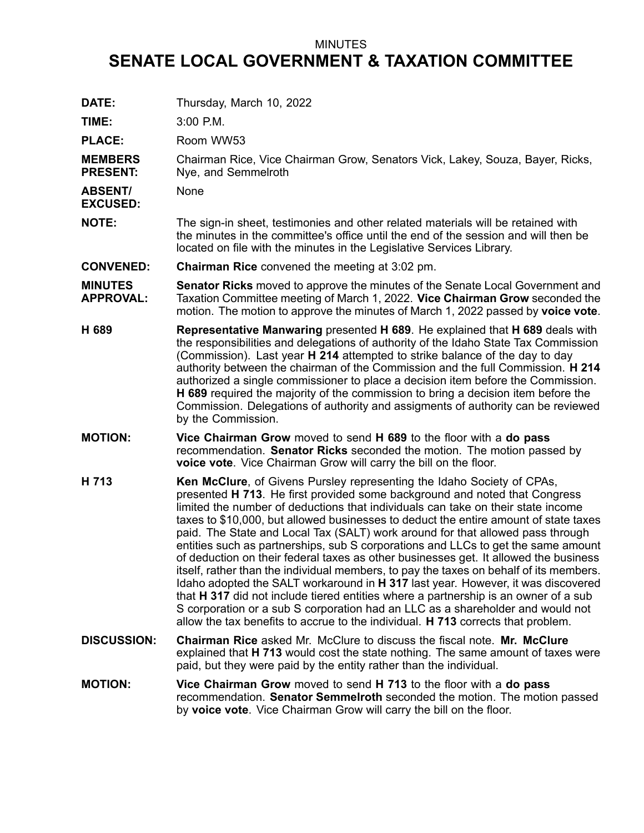## MINUTES

## **SENATE LOCAL GOVERNMENT & TAXATION COMMITTEE**

| DATE:                              | Thursday, March 10, 2022                                                                                                                                                                                                                                                                                                                                                                                                                                                                                                                                                                                                                                                                                                                                                                                                                                                                                                                                                                                                                          |
|------------------------------------|---------------------------------------------------------------------------------------------------------------------------------------------------------------------------------------------------------------------------------------------------------------------------------------------------------------------------------------------------------------------------------------------------------------------------------------------------------------------------------------------------------------------------------------------------------------------------------------------------------------------------------------------------------------------------------------------------------------------------------------------------------------------------------------------------------------------------------------------------------------------------------------------------------------------------------------------------------------------------------------------------------------------------------------------------|
| TIME:                              | 3:00 P.M.                                                                                                                                                                                                                                                                                                                                                                                                                                                                                                                                                                                                                                                                                                                                                                                                                                                                                                                                                                                                                                         |
| <b>PLACE:</b>                      | Room WW53                                                                                                                                                                                                                                                                                                                                                                                                                                                                                                                                                                                                                                                                                                                                                                                                                                                                                                                                                                                                                                         |
| <b>MEMBERS</b><br><b>PRESENT:</b>  | Chairman Rice, Vice Chairman Grow, Senators Vick, Lakey, Souza, Bayer, Ricks,<br>Nye, and Semmelroth                                                                                                                                                                                                                                                                                                                                                                                                                                                                                                                                                                                                                                                                                                                                                                                                                                                                                                                                              |
| <b>ABSENT/</b><br><b>EXCUSED:</b>  | None                                                                                                                                                                                                                                                                                                                                                                                                                                                                                                                                                                                                                                                                                                                                                                                                                                                                                                                                                                                                                                              |
| <b>NOTE:</b>                       | The sign-in sheet, testimonies and other related materials will be retained with<br>the minutes in the committee's office until the end of the session and will then be<br>located on file with the minutes in the Legislative Services Library.                                                                                                                                                                                                                                                                                                                                                                                                                                                                                                                                                                                                                                                                                                                                                                                                  |
| <b>CONVENED:</b>                   | <b>Chairman Rice</b> convened the meeting at 3:02 pm.                                                                                                                                                                                                                                                                                                                                                                                                                                                                                                                                                                                                                                                                                                                                                                                                                                                                                                                                                                                             |
| <b>MINUTES</b><br><b>APPROVAL:</b> | <b>Senator Ricks</b> moved to approve the minutes of the Senate Local Government and<br>Taxation Committee meeting of March 1, 2022. Vice Chairman Grow seconded the<br>motion. The motion to approve the minutes of March 1, 2022 passed by voice vote.                                                                                                                                                                                                                                                                                                                                                                                                                                                                                                                                                                                                                                                                                                                                                                                          |
| H 689                              | Representative Manwaring presented H 689. He explained that H 689 deals with<br>the responsibilities and delegations of authority of the Idaho State Tax Commission<br>(Commission). Last year H 214 attempted to strike balance of the day to day<br>authority between the chairman of the Commission and the full Commission. H 214<br>authorized a single commissioner to place a decision item before the Commission.<br><b>H 689</b> required the majority of the commission to bring a decision item before the<br>Commission. Delegations of authority and assigments of authority can be reviewed<br>by the Commission.                                                                                                                                                                                                                                                                                                                                                                                                                   |
| <b>MOTION:</b>                     | Vice Chairman Grow moved to send H 689 to the floor with a do pass<br>recommendation. Senator Ricks seconded the motion. The motion passed by<br>voice vote. Vice Chairman Grow will carry the bill on the floor.                                                                                                                                                                                                                                                                                                                                                                                                                                                                                                                                                                                                                                                                                                                                                                                                                                 |
| H 713                              | <b>Ken McClure, of Givens Pursley representing the Idaho Society of CPAs,</b><br>presented H 713. He first provided some background and noted that Congress<br>limited the number of deductions that individuals can take on their state income<br>taxes to \$10,000, but allowed businesses to deduct the entire amount of state taxes<br>paid. The State and Local Tax (SALT) work around for that allowed pass through<br>entities such as partnerships, sub S corporations and LLCs to get the same amount<br>of deduction on their federal taxes as other businesses get. It allowed the business<br>itself, rather than the individual members, to pay the taxes on behalf of its members.<br>Idaho adopted the SALT workaround in H 317 last year. However, it was discovered<br>that H 317 did not include tiered entities where a partnership is an owner of a sub<br>S corporation or a sub S corporation had an LLC as a shareholder and would not<br>allow the tax benefits to accrue to the individual. H 713 corrects that problem. |
| <b>DISCUSSION:</b>                 | <b>Chairman Rice asked Mr. McClure to discuss the fiscal note. Mr. McClure</b><br>explained that H 713 would cost the state nothing. The same amount of taxes were<br>paid, but they were paid by the entity rather than the individual.                                                                                                                                                                                                                                                                                                                                                                                                                                                                                                                                                                                                                                                                                                                                                                                                          |
| <b>MOTION:</b>                     | Vice Chairman Grow moved to send H 713 to the floor with a do pass<br>recommendation. Senator Semmelroth seconded the motion. The motion passed<br>by voice vote. Vice Chairman Grow will carry the bill on the floor.                                                                                                                                                                                                                                                                                                                                                                                                                                                                                                                                                                                                                                                                                                                                                                                                                            |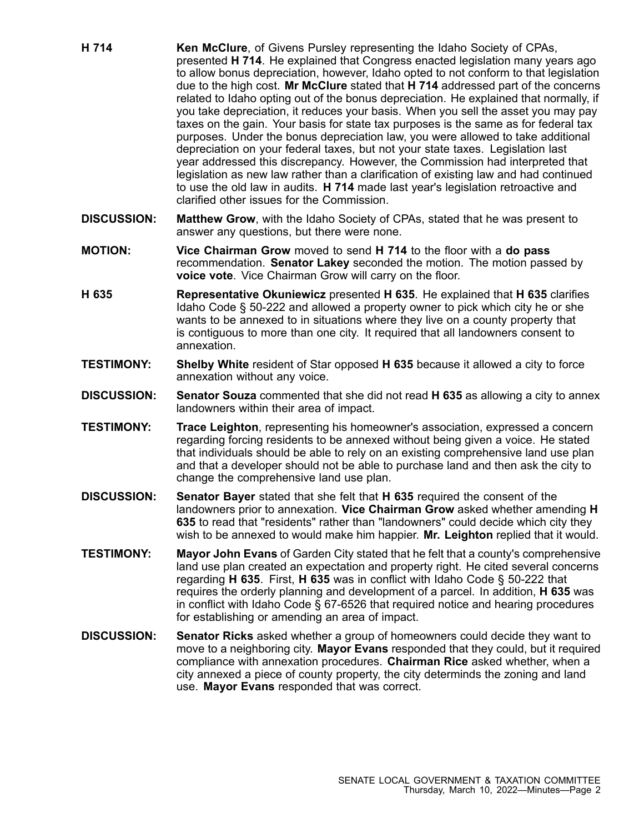- **H 714 Ken McClure**, of Givens Pursley representing the Idaho Society of CPAs, presented **H 714**. He explained that Congress enacted legislation many years ago to allow bonus depreciation, however, Idaho opted to not conform to that legislation due to the high cost. **Mr McClure** stated that **H 714** addressed part of the concerns related to Idaho opting out of the bonus depreciation. He explained that normally, if you take depreciation, it reduces your basis. When you sell the asset you may pay taxes on the gain. Your basis for state tax purposes is the same as for federal tax purposes. Under the bonus depreciation law, you were allowed to take additional depreciation on your federal taxes, but not your state taxes. Legislation last year addressed this discrepancy. However, the Commission had interpreted that legislation as new law rather than <sup>a</sup> clarification of existing law and had continued to use the old law in audits. **H 714** made last year's legislation retroactive and clarified other issues for the Commission.
- **DISCUSSION: Matthew Grow**, with the Idaho Society of CPAs, stated that he was present to answer any questions, but there were none.
- **MOTION: Vice Chairman Grow** moved to send **H 714** to the floor with <sup>a</sup> **do pass** recommendation. **Senator Lakey** seconded the motion. The motion passed by **voice vote**. Vice Chairman Grow will carry on the floor.
- **H 635 Representative Okuniewicz** presented **H 635**. He explained that **H 635** clarifies Idaho Code § 50-222 and allowed <sup>a</sup> property owner to pick which city he or she wants to be annexed to in situations where they live on <sup>a</sup> county property that is contiguous to more than one city. It required that all landowners consent to annexation.
- **TESTIMONY: Shelby White** resident of Star opposed **H 635** because it allowed <sup>a</sup> city to force annexation without any voice.
- **DISCUSSION: Senator Souza** commented that she did not read **H 635** as allowing <sup>a</sup> city to annex landowners within their area of impact.
- **TESTIMONY: Trace Leighton**, representing his homeowner's association, expressed <sup>a</sup> concern regarding forcing residents to be annexed without being given <sup>a</sup> voice. He stated that individuals should be able to rely on an existing comprehensive land use plan and that <sup>a</sup> developer should not be able to purchase land and then ask the city to change the comprehensive land use plan.
- **DISCUSSION: Senator Bayer** stated that she felt that **H 635** required the consent of the landowners prior to annexation. **Vice Chairman Grow** asked whether amending **H 635** to read that "residents" rather than "landowners" could decide which city they wish to be annexed to would make him happier. **Mr. Leighton** replied that it would.
- **TESTIMONY: Mayor John Evans** of Garden City stated that he felt that <sup>a</sup> county's comprehensive land use plan created an expectation and property right. He cited several concerns regarding **H 635**. First, **H 635** was in conflict with Idaho Code § 50-222 that requires the orderly planning and development of <sup>a</sup> parcel. In addition, **H 635** was in conflict with Idaho Code  $\S$  67-6526 that required notice and hearing procedures for establishing or amending an area of impact.
- **DISCUSSION: Senator Ricks** asked whether <sup>a</sup> group of homeowners could decide they want to move to <sup>a</sup> neighboring city. **Mayor Evans** responded that they could, but it required compliance with annexation procedures. **Chairman Rice** asked whether, when <sup>a</sup> city annexed <sup>a</sup> piece of county property, the city determinds the zoning and land use. **Mayor Evans** responded that was correct.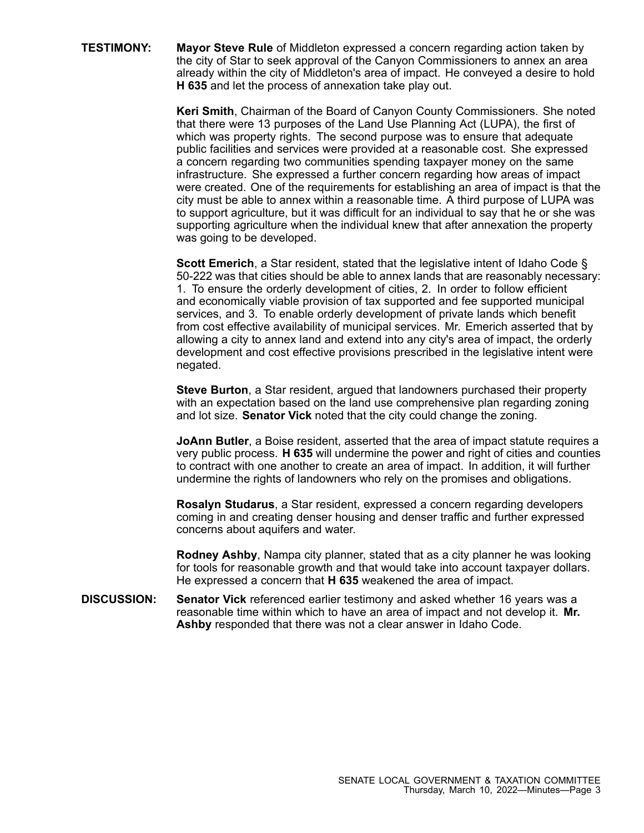**TESTIMONY: Mayor Steve Rule** of Middleton expressed <sup>a</sup> concern regarding action taken by the city of Star to seek approval of the Canyon Commissioners to annex an area already within the city of Middleton's area of impact. He conveyed <sup>a</sup> desire to hold **H 635** and let the process of annexation take play out.

> **Keri Smith**, Chairman of the Board of Canyon County Commissioners. She noted that there were 13 purposes of the Land Use Planning Act (LUPA), the first of which was property rights. The second purpose was to ensure that adequate public facilities and services were provided at <sup>a</sup> reasonable cost. She expressed <sup>a</sup> concern regarding two communities spending taxpayer money on the same infrastructure. She expressed <sup>a</sup> further concern regarding how areas of impact were created. One of the requirements for establishing an area of impact is that the city must be able to annex within <sup>a</sup> reasonable time. A third purpose of LUPA was to support agriculture, but it was difficult for an individual to say that he or she was supporting agriculture when the individual knew that after annexation the property was going to be developed.

> **Scott Emerich**, <sup>a</sup> Star resident, stated that the legislative intent of Idaho Code § 50-222 was that cities should be able to annex lands that are reasonably necessary: 1. To ensure the orderly development of cities, 2. In order to follow efficient and economically viable provision of tax supported and fee supported municipal services, and 3. To enable orderly development of private lands which benefit from cost effective availability of municipal services. Mr. Emerich asserted that by allowing <sup>a</sup> city to annex land and extend into any city's area of impact, the orderly development and cost effective provisions prescribed in the legislative intent were negated.

**Steve Burton**, <sup>a</sup> Star resident, argued that landowners purchased their property with an expectation based on the land use comprehensive plan regarding zoning and lot size. **Senator Vick** noted that the city could change the zoning.

**JoAnn Butler**, <sup>a</sup> Boise resident, asserted that the area of impact statute requires <sup>a</sup> very public process. **H 635** will undermine the power and right of cities and counties to contract with one another to create an area of impact. In addition, it will further undermine the rights of landowners who rely on the promises and obligations.

**Rosalyn Studarus**, <sup>a</sup> Star resident, expressed <sup>a</sup> concern regarding developers coming in and creating denser housing and denser traffic and further expressed concerns about aquifers and water.

**Rodney Ashby**, Nampa city planner, stated that as <sup>a</sup> city planner he was looking for tools for reasonable growth and that would take into account taxpayer dollars. He expressed <sup>a</sup> concern that **H 635** weakened the area of impact.

**DISCUSSION: Senator Vick** referenced earlier testimony and asked whether 16 years was <sup>a</sup> reasonable time within which to have an area of impact and not develop it. **Mr. Ashby** responded that there was not <sup>a</sup> clear answer in Idaho Code.